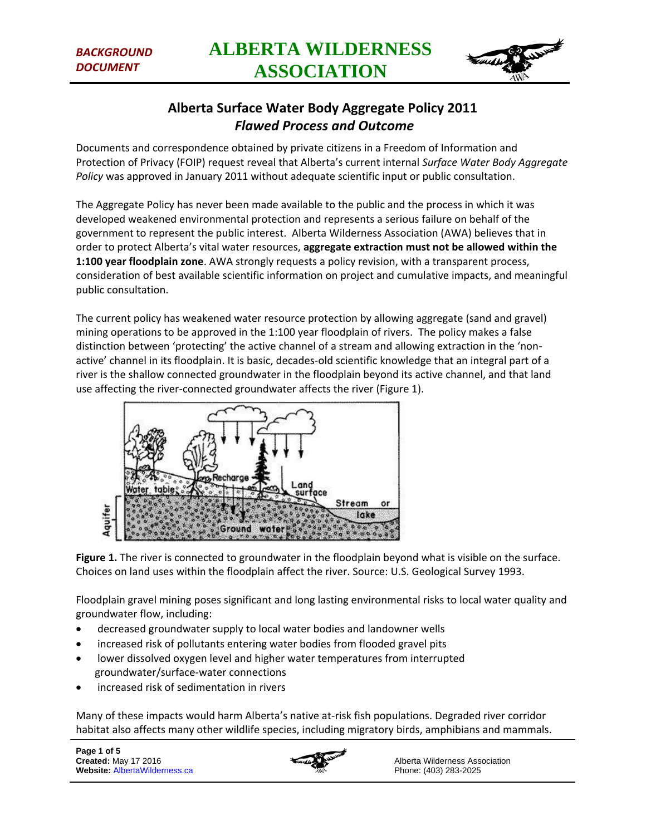

# **Alberta Surface Water Body Aggregate Policy 2011** *Flawed Process and Outcome*

Documents and correspondence obtained by private citizens in a Freedom of Information and Protection of Privacy (FOIP) request reveal that Alberta's current internal *Surface Water Body Aggregate Policy* was approved in January 2011 without adequate scientific input or public consultation.

The Aggregate Policy has never been made available to the public and the process in which it was developed weakened environmental protection and represents a serious failure on behalf of the government to represent the public interest. Alberta Wilderness Association (AWA) believes that in order to protect Alberta's vital water resources, **aggregate extraction must not be allowed within the 1:100 year floodplain zone**. AWA strongly requests a policy revision, with a transparent process, consideration of best available scientific information on project and cumulative impacts, and meaningful public consultation.

The current policy has weakened water resource protection by allowing aggregate (sand and gravel) mining operations to be approved in the 1:100 year floodplain of rivers. The policy makes a false distinction between 'protecting' the active channel of a stream and allowing extraction in the 'nonactive' channel in its floodplain. It is basic, decades-old scientific knowledge that an integral part of a river is the shallow connected groundwater in the floodplain beyond its active channel, and that land use affecting the river-connected groundwater affects the river (Figure 1).



**Figure 1.** The river is connected to groundwater in the floodplain beyond what is visible on the surface. Choices on land uses within the floodplain affect the river. Source: U.S. Geological Survey 1993.

Floodplain gravel mining poses significant and long lasting environmental risks to local water quality and groundwater flow, including:

- decreased groundwater supply to local water bodies and landowner wells
- increased risk of pollutants entering water bodies from flooded gravel pits
- lower dissolved oxygen level and higher water temperatures from interrupted groundwater/surface-water connections
- increased risk of sedimentation in rivers

Many of these impacts would harm Alberta's native at-risk fish populations. Degraded river corridor habitat also affects many other wildlife species, including migratory birds, amphibians and mammals.

**Page 1 of 5 Created:** May 17 2016 **Website:** AlbertaWilderness.ca

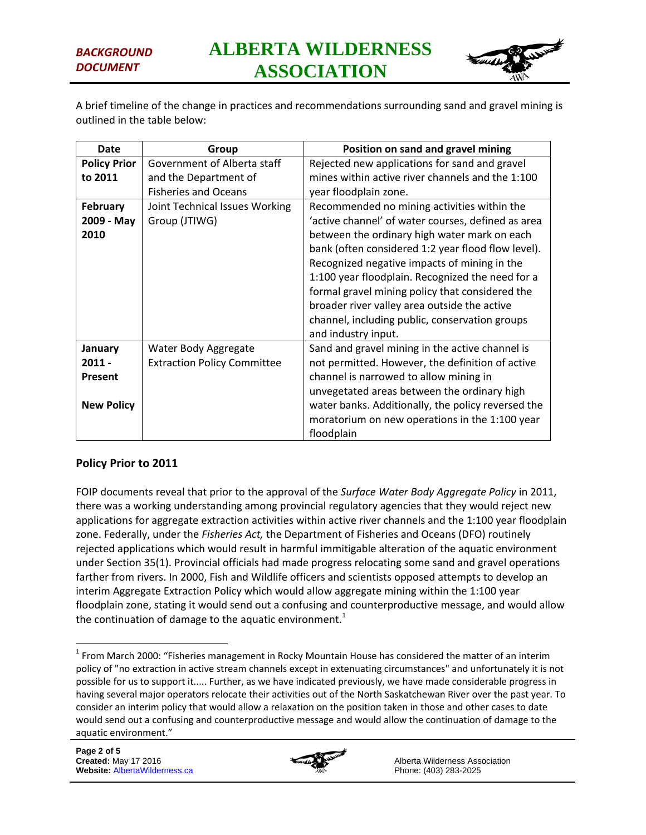

A brief timeline of the change in practices and recommendations surrounding sand and gravel mining is outlined in the table below:

| Date                | Group                              | Position on sand and gravel mining                 |
|---------------------|------------------------------------|----------------------------------------------------|
| <b>Policy Prior</b> | Government of Alberta staff        | Rejected new applications for sand and gravel      |
| to 2011             | and the Department of              | mines within active river channels and the 1:100   |
|                     | <b>Fisheries and Oceans</b>        | year floodplain zone.                              |
| <b>February</b>     | Joint Technical Issues Working     | Recommended no mining activities within the        |
| 2009 - May          | Group (JTIWG)                      | 'active channel' of water courses, defined as area |
| 2010                |                                    | between the ordinary high water mark on each       |
|                     |                                    | bank (often considered 1:2 year flood flow level). |
|                     |                                    | Recognized negative impacts of mining in the       |
|                     |                                    | 1:100 year floodplain. Recognized the need for a   |
|                     |                                    | formal gravel mining policy that considered the    |
|                     |                                    | broader river valley area outside the active       |
|                     |                                    | channel, including public, conservation groups     |
|                     |                                    | and industry input.                                |
| January             | Water Body Aggregate               | Sand and gravel mining in the active channel is    |
| $2011 -$            | <b>Extraction Policy Committee</b> | not permitted. However, the definition of active   |
| <b>Present</b>      |                                    | channel is narrowed to allow mining in             |
|                     |                                    | unvegetated areas between the ordinary high        |
| <b>New Policy</b>   |                                    | water banks. Additionally, the policy reversed the |
|                     |                                    | moratorium on new operations in the 1:100 year     |
|                     |                                    | floodplain                                         |

## **Policy Prior to 2011**

FOIP documents reveal that prior to the approval of the *Surface Water Body Aggregate Policy* in 2011, there was a working understanding among provincial regulatory agencies that they would reject new applications for aggregate extraction activities within active river channels and the 1:100 year floodplain zone. Federally, under the *Fisheries Act,* the Department of Fisheries and Oceans (DFO) routinely rejected applications which would result in harmful immitigable alteration of the aquatic environment under Section 35(1). Provincial officials had made progress relocating some sand and gravel operations farther from rivers. In 2000, Fish and Wildlife officers and scientists opposed attempts to develop an interim Aggregate Extraction Policy which would allow aggregate mining within the 1:100 year floodplain zone, stating it would send out a confusing and counterproductive message, and would allow the continuation of damage to the aquatic environment.<sup>1</sup>

 $\overline{a}$ 



 $1$  From March 2000: "Fisheries management in Rocky Mountain House has considered the matter of an interim policy of "no extraction in active stream channels except in extenuating circumstances" and unfortunately it is not possible for us to support it..... Further, as we have indicated previously, we have made considerable progress in having several major operators relocate their activities out of the North Saskatchewan River over the past year. To consider an interim policy that would allow a relaxation on the position taken in those and other cases to date would send out a confusing and counterproductive message and would allow the continuation of damage to the aquatic environment."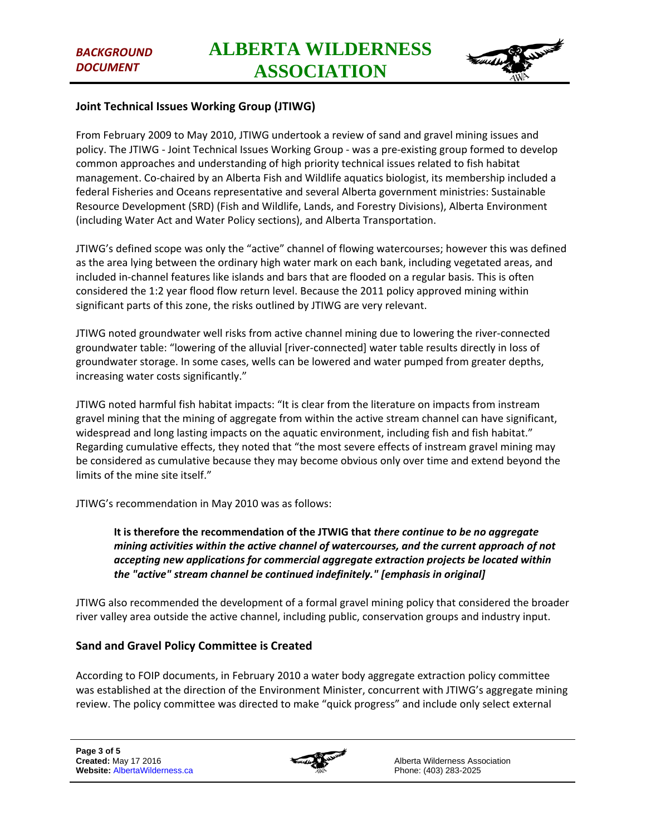

#### **Joint Technical Issues Working Group (JTIWG)**

From February 2009 to May 2010, JTIWG undertook a review of sand and gravel mining issues and policy. The JTIWG - Joint Technical Issues Working Group - was a pre-existing group formed to develop common approaches and understanding of high priority technical issues related to fish habitat management. Co-chaired by an Alberta Fish and Wildlife aquatics biologist, its membership included a federal Fisheries and Oceans representative and several Alberta government ministries: Sustainable Resource Development (SRD) (Fish and Wildlife, Lands, and Forestry Divisions), Alberta Environment (including Water Act and Water Policy sections), and Alberta Transportation.

JTIWG's defined scope was only the "active" channel of flowing watercourses; however this was defined as the area lying between the ordinary high water mark on each bank, including vegetated areas, and included in-channel features like islands and bars that are flooded on a regular basis. This is often considered the 1:2 year flood flow return level. Because the 2011 policy approved mining within significant parts of this zone, the risks outlined by JTIWG are very relevant.

JTIWG noted groundwater well risks from active channel mining due to lowering the river-connected groundwater table: "lowering of the alluvial [river-connected] water table results directly in loss of groundwater storage. In some cases, wells can be lowered and water pumped from greater depths, increasing water costs significantly."

JTIWG noted harmful fish habitat impacts: "It is clear from the literature on impacts from instream gravel mining that the mining of aggregate from within the active stream channel can have significant, widespread and long lasting impacts on the aquatic environment, including fish and fish habitat." Regarding cumulative effects, they noted that "the most severe effects of instream gravel mining may be considered as cumulative because they may become obvious only over time and extend beyond the limits of the mine site itself."

JTIWG's recommendation in May 2010 was as follows:

**It is therefore the recommendation of the JTWIG that** *there continue to be no aggregate mining activities within the active channel of watercourses, and the current approach of not accepting new applications for commercial aggregate extraction projects be located within the "active" stream channel be continued indefinitely." [emphasis in original]*

JTIWG also recommended the development of a formal gravel mining policy that considered the broader river valley area outside the active channel, including public, conservation groups and industry input.

#### **Sand and Gravel Policy Committee is Created**

According to FOIP documents, in February 2010 a water body aggregate extraction policy committee was established at the direction of the Environment Minister, concurrent with JTIWG's aggregate mining review. The policy committee was directed to make "quick progress" and include only select external

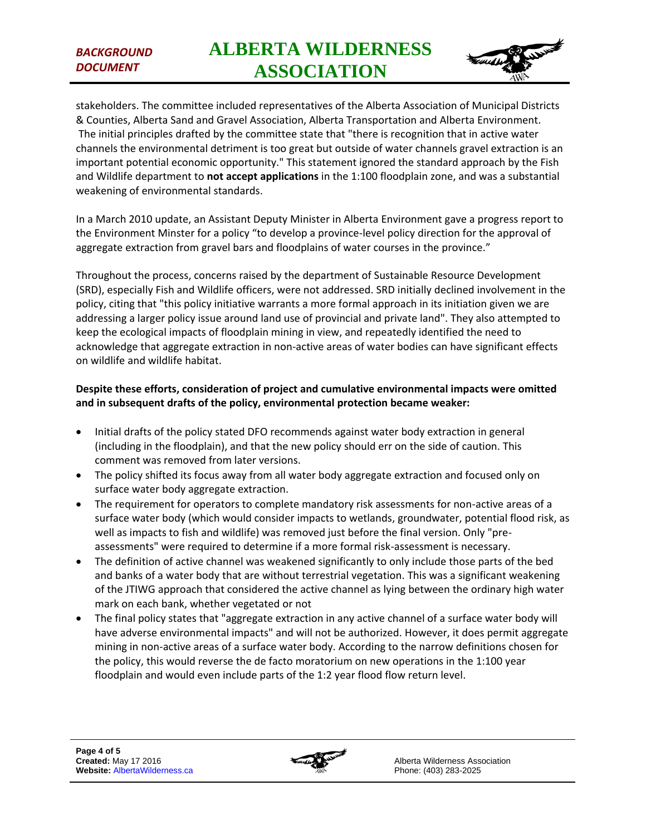## *BACKGROUND DOCUMENT*



stakeholders. The committee included representatives of the Alberta Association of Municipal Districts & Counties, Alberta Sand and Gravel Association, Alberta Transportation and Alberta Environment. The initial principles drafted by the committee state that "there is recognition that in active water channels the environmental detriment is too great but outside of water channels gravel extraction is an important potential economic opportunity." This statement ignored the standard approach by the Fish and Wildlife department to **not accept applications** in the 1:100 floodplain zone, and was a substantial weakening of environmental standards.

In a March 2010 update, an Assistant Deputy Minister in Alberta Environment gave a progress report to the Environment Minster for a policy "to develop a province-level policy direction for the approval of aggregate extraction from gravel bars and floodplains of water courses in the province."

Throughout the process, concerns raised by the department of Sustainable Resource Development (SRD), especially Fish and Wildlife officers, were not addressed. SRD initially declined involvement in the policy, citing that "this policy initiative warrants a more formal approach in its initiation given we are addressing a larger policy issue around land use of provincial and private land". They also attempted to keep the ecological impacts of floodplain mining in view, and repeatedly identified the need to acknowledge that aggregate extraction in non-active areas of water bodies can have significant effects on wildlife and wildlife habitat.

### **Despite these efforts, consideration of project and cumulative environmental impacts were omitted and in subsequent drafts of the policy, environmental protection became weaker:**

- Initial drafts of the policy stated DFO recommends against water body extraction in general (including in the floodplain), and that the new policy should err on the side of caution. This comment was removed from later versions.
- The policy shifted its focus away from all water body aggregate extraction and focused only on surface water body aggregate extraction.
- The requirement for operators to complete mandatory risk assessments for non-active areas of a surface water body (which would consider impacts to wetlands, groundwater, potential flood risk, as well as impacts to fish and wildlife) was removed just before the final version. Only "preassessments" were required to determine if a more formal risk-assessment is necessary.
- The definition of active channel was weakened significantly to only include those parts of the bed and banks of a water body that are without terrestrial vegetation. This was a significant weakening of the JTIWG approach that considered the active channel as lying between the ordinary high water mark on each bank, whether vegetated or not
- The final policy states that "aggregate extraction in any active channel of a surface water body will have adverse environmental impacts" and will not be authorized. However, it does permit aggregate mining in non-active areas of a surface water body. According to the narrow definitions chosen for the policy, this would reverse the de facto moratorium on new operations in the 1:100 year floodplain and would even include parts of the 1:2 year flood flow return level.